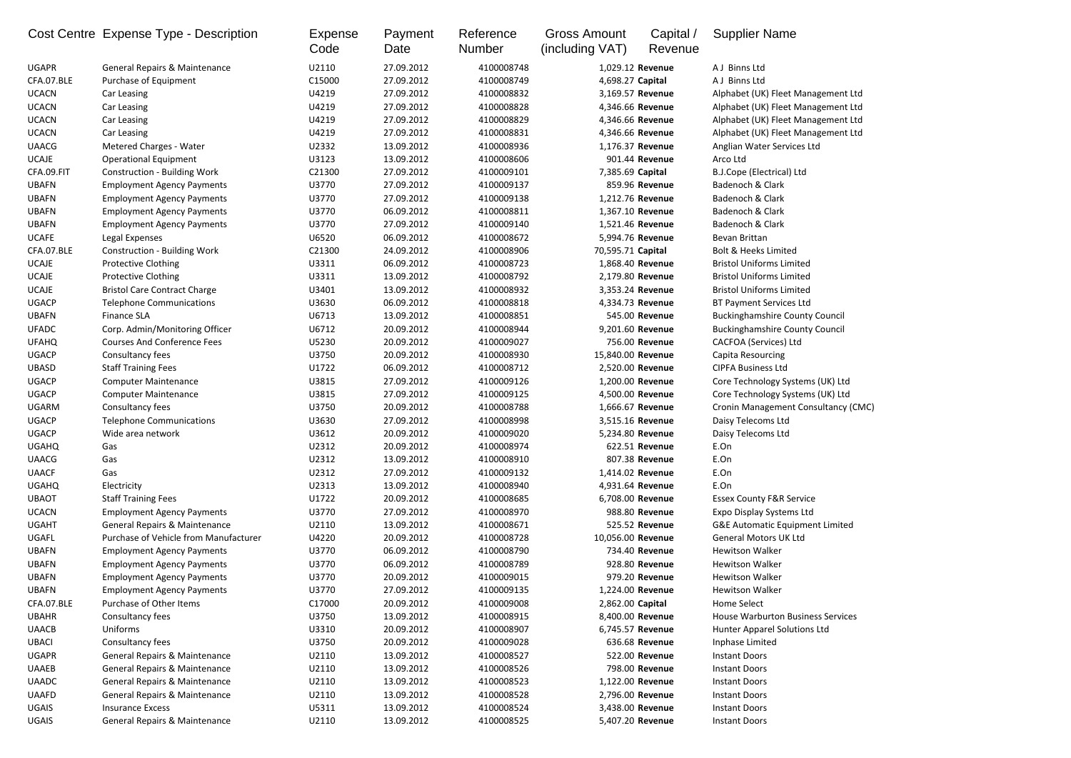|              | Cost Centre Expense Type - Description   | Expense<br>Code | Payment<br>Date | Reference<br><b>Number</b> | <b>Gross Amount</b><br>(including VAT) | Capital /<br>Revenue | <b>Supplier Name</b>                       |
|--------------|------------------------------------------|-----------------|-----------------|----------------------------|----------------------------------------|----------------------|--------------------------------------------|
| <b>UGAPR</b> | General Repairs & Maintenance            | U2110           | 27.09.2012      | 4100008748                 | 1,029.12 Revenue                       |                      | A J Binns Ltd                              |
| CFA.07.BLE   | Purchase of Equipment                    | C15000          | 27.09.2012      | 4100008749                 | 4,698.27 Capital                       |                      | A J Binns Ltd                              |
| <b>UCACN</b> | Car Leasing                              | U4219           | 27.09.2012      | 4100008832                 | 3,169.57 Revenue                       |                      | Alphabet (UK) Fleet Management Ltd         |
| <b>UCACN</b> | Car Leasing                              | U4219           | 27.09.2012      | 4100008828                 | 4,346.66 Revenue                       |                      | Alphabet (UK) Fleet Management Ltd         |
| <b>UCACN</b> | Car Leasing                              | U4219           | 27.09.2012      | 4100008829                 | 4,346.66 Revenue                       |                      | Alphabet (UK) Fleet Management Ltd         |
| <b>UCACN</b> | Car Leasing                              | U4219           | 27.09.2012      | 4100008831                 | 4,346.66 Revenue                       |                      | Alphabet (UK) Fleet Management Ltd         |
| <b>UAACG</b> | <b>Metered Charges - Water</b>           | U2332           | 13.09.2012      | 4100008936                 | 1,176.37 Revenue                       |                      | Anglian Water Services Ltd                 |
| <b>UCAJE</b> | <b>Operational Equipment</b>             | U3123           | 13.09.2012      | 4100008606                 |                                        | 901.44 Revenue       | Arco Ltd                                   |
| CFA.09.FIT   | <b>Construction - Building Work</b>      | C21300          | 27.09.2012      | 4100009101                 | 7,385.69 Capital                       |                      | <b>B.J.Cope (Electrical) Ltd</b>           |
| <b>UBAFN</b> | <b>Employment Agency Payments</b>        | U3770           | 27.09.2012      | 4100009137                 |                                        | 859.96 Revenue       | Badenoch & Clark                           |
| <b>UBAFN</b> | <b>Employment Agency Payments</b>        | U3770           | 27.09.2012      | 4100009138                 | 1,212.76 Revenue                       |                      | Badenoch & Clark                           |
| <b>UBAFN</b> | <b>Employment Agency Payments</b>        | U3770           | 06.09.2012      | 4100008811                 | 1,367.10 Revenue                       |                      | Badenoch & Clark                           |
| <b>UBAFN</b> | <b>Employment Agency Payments</b>        | U3770           | 27.09.2012      | 4100009140                 | 1,521.46 Revenue                       |                      | Badenoch & Clark                           |
| <b>UCAFE</b> | Legal Expenses                           | U6520           | 06.09.2012      | 4100008672                 | 5,994.76 Revenue                       |                      | Bevan Brittan                              |
| CFA.07.BLE   | <b>Construction - Building Work</b>      | C21300          | 24.09.2012      | 4100008906                 | 70,595.71 Capital                      |                      | <b>Bolt &amp; Heeks Limited</b>            |
| <b>UCAJE</b> | <b>Protective Clothing</b>               | U3311           | 06.09.2012      | 4100008723                 | 1,868.40 Revenue                       |                      | <b>Bristol Uniforms Limited</b>            |
| <b>UCAJE</b> | <b>Protective Clothing</b>               | U3311           | 13.09.2012      | 4100008792                 | 2,179.80 Revenue                       |                      | <b>Bristol Uniforms Limited</b>            |
| <b>UCAJE</b> | <b>Bristol Care Contract Charge</b>      | U3401           | 13.09.2012      | 4100008932                 | 3,353.24 Revenue                       |                      | <b>Bristol Uniforms Limited</b>            |
| <b>UGACP</b> | <b>Telephone Communications</b>          | U3630           | 06.09.2012      | 4100008818                 | 4,334.73 Revenue                       |                      | <b>BT Payment Services Ltd</b>             |
| <b>UBAFN</b> | <b>Finance SLA</b>                       | U6713           | 13.09.2012      | 4100008851                 |                                        | 545.00 Revenue       | <b>Buckinghamshire County Council</b>      |
| <b>UFADC</b> | Corp. Admin/Monitoring Officer           | U6712           | 20.09.2012      | 4100008944                 | 9,201.60 Revenue                       |                      | <b>Buckinghamshire County Council</b>      |
| <b>UFAHQ</b> | <b>Courses And Conference Fees</b>       | U5230           | 20.09.2012      | 4100009027                 |                                        | 756.00 Revenue       | CACFOA (Services) Ltd                      |
| <b>UGACP</b> | Consultancy fees                         | U3750           | 20.09.2012      | 4100008930                 | 15,840.00 Revenue                      |                      | Capita Resourcing                          |
|              |                                          | U1722           |                 |                            |                                        |                      |                                            |
| <b>UBASD</b> | <b>Staff Training Fees</b>               |                 | 06.09.2012      | 4100008712                 | 2,520.00 Revenue                       |                      | <b>CIPFA Business Ltd</b>                  |
| <b>UGACP</b> | <b>Computer Maintenance</b>              | U3815           | 27.09.2012      | 4100009126                 | 1,200.00 Revenue                       |                      | Core Technology Systems (UK) Ltd           |
| <b>UGACP</b> | <b>Computer Maintenance</b>              | U3815           | 27.09.2012      | 4100009125                 | 4,500.00 Revenue                       |                      | Core Technology Systems (UK) Ltd           |
| <b>UGARM</b> | Consultancy fees                         | U3750           | 20.09.2012      | 4100008788                 | 1,666.67 Revenue                       |                      | Cronin Management Consultancy (CMC)        |
| <b>UGACP</b> | <b>Telephone Communications</b>          | U3630           | 27.09.2012      | 4100008998                 | 3,515.16 Revenue                       |                      | Daisy Telecoms Ltd                         |
| <b>UGACP</b> | Wide area network                        | U3612           | 20.09.2012      | 4100009020                 | 5,234.80 Revenue                       |                      | Daisy Telecoms Ltd                         |
| <b>UGAHQ</b> | Gas                                      | U2312           | 20.09.2012      | 4100008974                 |                                        | 622.51 Revenue       | E.On                                       |
| <b>UAACG</b> | Gas                                      | U2312           | 13.09.2012      | 4100008910                 |                                        | 807.38 Revenue       | E.On                                       |
| <b>UAACF</b> | Gas                                      | U2312           | 27.09.2012      | 4100009132                 | 1,414.02 Revenue                       |                      | E.On                                       |
| <b>UGAHQ</b> | Electricity                              | U2313           | 13.09.2012      | 4100008940                 |                                        | 4,931.64 Revenue     | E.On                                       |
| <b>UBAOT</b> | <b>Staff Training Fees</b>               | U1722           | 20.09.2012      | 4100008685                 | 6,708.00 Revenue                       |                      | <b>Essex County F&amp;R Service</b>        |
| <b>UCACN</b> | <b>Employment Agency Payments</b>        | U3770           | 27.09.2012      | 4100008970                 |                                        | 988.80 Revenue       | <b>Expo Display Systems Ltd</b>            |
| <b>UGAHT</b> | <b>General Repairs &amp; Maintenance</b> | U2110           | 13.09.2012      | 4100008671                 |                                        | 525.52 Revenue       | <b>G&amp;E Automatic Equipment Limited</b> |
| UGAFL        | Purchase of Vehicle from Manufacturer    | U4220           | 20.09.2012      | 4100008728                 | 10,056.00 Revenue                      |                      | <b>General Motors UK Ltd</b>               |
| <b>UBAFN</b> | <b>Employment Agency Payments</b>        | U3770           | 06.09.2012      | 4100008790                 |                                        | 734.40 Revenue       | Hewitson Walker                            |
| <b>UBAFN</b> | <b>Employment Agency Payments</b>        | U3770           | 06.09.2012      | 4100008789                 |                                        | 928.80 Revenue       | <b>Hewitson Walker</b>                     |
| <b>UBAFN</b> | <b>Employment Agency Payments</b>        | U3770           | 20.09.2012      | 4100009015                 |                                        | 979.20 Revenue       | Hewitson Walker                            |
| <b>UBAFN</b> | <b>Employment Agency Payments</b>        | U3770           | 27.09.2012      | 4100009135                 | 1,224.00 Revenue                       |                      | <b>Hewitson Walker</b>                     |
| CFA.07.BLE   | Purchase of Other Items                  | C17000          | 20.09.2012      | 4100009008                 | 2,862.00 Capital                       |                      | Home Select                                |
| <b>UBAHR</b> | Consultancy fees                         | U3750           | 13.09.2012      | 4100008915                 | 8,400.00 Revenue                       |                      | House Warburton Business Services          |
| <b>UAACB</b> | Uniforms                                 | U3310           | 20.09.2012      | 4100008907                 | 6,745.57 Revenue                       |                      | Hunter Apparel Solutions Ltd               |
| <b>UBACI</b> | Consultancy fees                         | U3750           | 20.09.2012      | 4100009028                 |                                        | 636.68 Revenue       | Inphase Limited                            |
| <b>UGAPR</b> | General Repairs & Maintenance            | U2110           | 13.09.2012      | 4100008527                 |                                        | 522.00 Revenue       | <b>Instant Doors</b>                       |
| <b>UAAEB</b> | General Repairs & Maintenance            | U2110           | 13.09.2012      | 4100008526                 |                                        | 798.00 Revenue       | <b>Instant Doors</b>                       |
| <b>UAADC</b> | General Repairs & Maintenance            | U2110           | 13.09.2012      | 4100008523                 | 1,122.00 Revenue                       |                      | <b>Instant Doors</b>                       |
| <b>UAAFD</b> | <b>General Repairs &amp; Maintenance</b> | U2110           | 13.09.2012      | 4100008528                 | 2,796.00 Revenue                       |                      | <b>Instant Doors</b>                       |
| UGAIS        | <b>Insurance Excess</b>                  | U5311           | 13.09.2012      | 4100008524                 | 3,438.00 Revenue                       |                      | <b>Instant Doors</b>                       |
| UGAIS        | <b>General Repairs &amp; Maintenance</b> | U2110           | 13.09.2012      | 4100008525                 |                                        | 5,407.20 Revenue     | <b>Instant Doors</b>                       |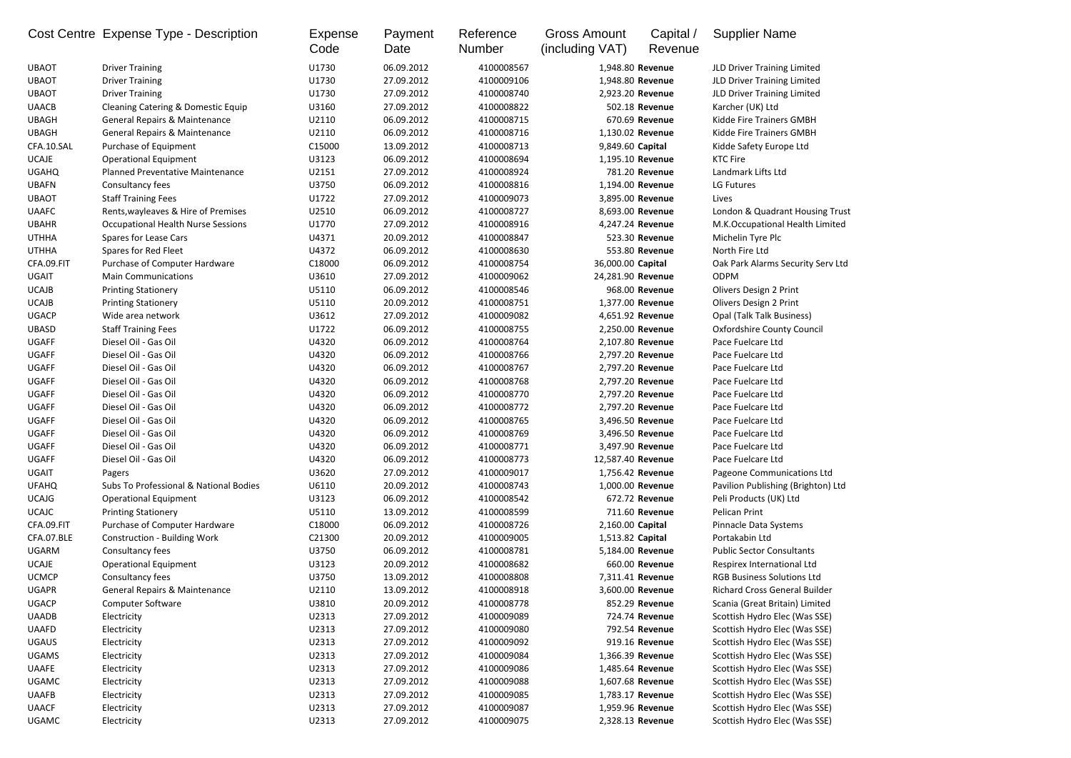|              | Cost Centre Expense Type - Description                      | Expense<br>Code | Payment<br>Date          | Reference<br><b>Number</b> | <b>Gross Amount</b><br>(including VAT) | Capital /<br>Revenue | <b>Supplier Name</b>                               |
|--------------|-------------------------------------------------------------|-----------------|--------------------------|----------------------------|----------------------------------------|----------------------|----------------------------------------------------|
| <b>UBAOT</b> | <b>Driver Training</b>                                      | U1730           | 06.09.2012               | 4100008567                 | 1,948.80 Revenue                       |                      | JLD Driver Training Limited                        |
| <b>UBAOT</b> | <b>Driver Training</b>                                      | U1730           | 27.09.2012               | 4100009106                 | 1,948.80 Revenue                       |                      | JLD Driver Training Limited                        |
| <b>UBAOT</b> | <b>Driver Training</b>                                      | U1730           | 27.09.2012               | 4100008740                 | 2,923.20 Revenue                       |                      | JLD Driver Training Limited                        |
| <b>UAACB</b> | Cleaning Catering & Domestic Equip                          | U3160           | 27.09.2012               | 4100008822                 | 502.18 Revenue                         |                      | Karcher (UK) Ltd                                   |
| <b>UBAGH</b> | <b>General Repairs &amp; Maintenance</b>                    | U2110           | 06.09.2012               | 4100008715                 | 670.69 Revenue                         |                      | Kidde Fire Trainers GMBH                           |
| <b>UBAGH</b> | <b>General Repairs &amp; Maintenance</b>                    | U2110           | 06.09.2012               | 4100008716                 | 1,130.02 Revenue                       |                      | Kidde Fire Trainers GMBH                           |
| CFA.10.SAL   | Purchase of Equipment                                       | C15000          | 13.09.2012               | 4100008713                 | 9,849.60 Capital                       |                      | Kidde Safety Europe Ltd                            |
| <b>UCAJE</b> | <b>Operational Equipment</b>                                | U3123           | 06.09.2012               | 4100008694                 | 1,195.10 Revenue                       |                      | <b>KTC Fire</b>                                    |
| <b>UGAHQ</b> | Planned Preventative Maintenance                            | U2151           | 27.09.2012               | 4100008924                 | 781.20 Revenue                         |                      | Landmark Lifts Ltd                                 |
| <b>UBAFN</b> | Consultancy fees                                            | U3750           | 06.09.2012               | 4100008816                 | 1,194.00 Revenue                       |                      | LG Futures                                         |
| <b>UBAOT</b> | <b>Staff Training Fees</b>                                  | U1722           | 27.09.2012               | 4100009073                 | 3,895.00 Revenue                       |                      | Lives                                              |
| <b>UAAFC</b> | Rents, wayleaves & Hire of Premises                         | U2510           | 06.09.2012               | 4100008727                 | 8,693.00 Revenue                       |                      | London & Quadrant Housing Trust                    |
| <b>UBAHR</b> | <b>Occupational Health Nurse Sessions</b>                   | U1770           | 27.09.2012               | 4100008916                 | 4,247.24 Revenue                       |                      | M.K.Occupational Health Limited                    |
| <b>UTHHA</b> | <b>Spares for Lease Cars</b>                                | U4371           | 20.09.2012               | 4100008847                 | 523.30 Revenue                         |                      | Michelin Tyre Plc                                  |
| <b>UTHHA</b> | Spares for Red Fleet                                        | U4372           | 06.09.2012               | 4100008630                 | 553.80 Revenue                         |                      | North Fire Ltd                                     |
| CFA.09.FIT   | Purchase of Computer Hardware                               | C18000          | 06.09.2012               | 4100008754                 | 36,000.00 Capital                      |                      | Oak Park Alarms Security Serv Ltd                  |
| <b>UGAIT</b> | <b>Main Communications</b>                                  | U3610           | 27.09.2012               | 4100009062                 | 24,281.90 Revenue                      |                      | <b>ODPM</b>                                        |
| <b>UCAJB</b> | <b>Printing Stationery</b>                                  | U5110           | 06.09.2012               | 4100008546                 | 968.00 Revenue                         |                      | Olivers Design 2 Print                             |
| <b>UCAJB</b> | <b>Printing Stationery</b>                                  | U5110           | 20.09.2012               | 4100008751                 | 1,377.00 Revenue                       |                      | Olivers Design 2 Print                             |
| <b>UGACP</b> | Wide area network                                           | U3612           | 27.09.2012               | 4100009082                 | 4,651.92 Revenue                       |                      | Opal (Talk Talk Business)                          |
| <b>UBASD</b> | <b>Staff Training Fees</b>                                  | U1722           | 06.09.2012               | 4100008755                 | 2,250.00 Revenue                       |                      | <b>Oxfordshire County Council</b>                  |
| <b>UGAFF</b> | Diesel Oil - Gas Oil                                        | U4320           | 06.09.2012               | 4100008764                 | 2,107.80 Revenue                       |                      | Pace Fuelcare Ltd                                  |
| <b>UGAFF</b> | Diesel Oil - Gas Oil                                        | U4320           | 06.09.2012               | 4100008766                 | 2,797.20 Revenue                       |                      | Pace Fuelcare Ltd                                  |
| <b>UGAFF</b> | Diesel Oil - Gas Oil                                        | U4320           | 06.09.2012               | 4100008767                 | 2,797.20 Revenue                       |                      | Pace Fuelcare Ltd                                  |
| <b>UGAFF</b> | Diesel Oil - Gas Oil                                        | U4320           | 06.09.2012               | 4100008768                 | 2,797.20 Revenue                       |                      | Pace Fuelcare Ltd                                  |
| <b>UGAFF</b> | Diesel Oil - Gas Oil                                        | U4320           | 06.09.2012               | 4100008770                 | 2,797.20 Revenue                       |                      | Pace Fuelcare Ltd                                  |
| <b>UGAFF</b> | Diesel Oil - Gas Oil                                        | U4320           | 06.09.2012               | 4100008772                 | 2,797.20 Revenue                       |                      | Pace Fuelcare Ltd                                  |
| <b>UGAFF</b> | Diesel Oil - Gas Oil                                        | U4320           | 06.09.2012               | 4100008765                 | 3,496.50 Revenue                       |                      | Pace Fuelcare Ltd                                  |
| <b>UGAFF</b> | Diesel Oil - Gas Oil                                        | U4320           | 06.09.2012               | 4100008769                 | 3,496.50 Revenue                       |                      | Pace Fuelcare Ltd                                  |
| <b>UGAFF</b> | Diesel Oil - Gas Oil                                        | U4320           | 06.09.2012               | 4100008771                 | 3,497.90 Revenue                       |                      | Pace Fuelcare Ltd                                  |
| <b>UGAFF</b> | Diesel Oil - Gas Oil                                        | U4320           | 06.09.2012               | 4100008773                 | 12,587.40 Revenue                      |                      | Pace Fuelcare Ltd                                  |
| <b>UGAIT</b> | Pagers                                                      | U3620           | 27.09.2012               | 4100009017                 | 1,756.42 Revenue                       |                      | Pageone Communications Ltd                         |
| <b>UFAHQ</b> | Subs To Professional & National Bodies                      | U6110           | 20.09.2012               | 4100008743                 | 1,000.00 Revenue                       |                      | Pavilion Publishing (Brighton) Ltd                 |
| <b>UCAJG</b> | <b>Operational Equipment</b>                                | U3123           | 06.09.2012               | 4100008542                 | 672.72 Revenue                         |                      | Peli Products (UK) Ltd                             |
| <b>UCAJC</b> |                                                             | U5110           | 13.09.2012               | 4100008599                 | 711.60 Revenue                         |                      | Pelican Print                                      |
| CFA.09.FIT   | <b>Printing Stationery</b><br>Purchase of Computer Hardware | C18000          | 06.09.2012               | 4100008726                 |                                        |                      |                                                    |
| CFA.07.BLE   |                                                             |                 |                          |                            | 2,160.00 Capital                       |                      | Pinnacle Data Systems                              |
| <b>UGARM</b> | <b>Construction - Building Work</b>                         | C21300<br>U3750 | 20.09.2012<br>06.09.2012 | 4100009005<br>4100008781   | 1,513.82 Capital<br>5,184.00 Revenue   |                      | Portakabin Ltd<br><b>Public Sector Consultants</b> |
|              | Consultancy fees                                            |                 |                          |                            | 660.00 Revenue                         |                      |                                                    |
| <b>UCAJE</b> | <b>Operational Equipment</b>                                | U3123           | 20.09.2012               | 4100008682                 |                                        |                      | Respirex International Ltd                         |
| <b>UCMCP</b> | Consultancy fees                                            | U3750           | 13.09.2012               | 4100008808                 | 7,311.41 Revenue                       |                      | <b>RGB Business Solutions Ltd</b>                  |
| <b>UGAPR</b> | General Repairs & Maintenance                               | U2110           | 13.09.2012               | 4100008918                 | 3,600.00 Revenue                       |                      | <b>Richard Cross General Builder</b>               |
| <b>UGACP</b> | <b>Computer Software</b>                                    | U3810           | 20.09.2012               | 4100008778                 | 852.29 Revenue                         |                      | Scania (Great Britain) Limited                     |
| <b>UAADB</b> | Electricity                                                 | U2313           | 27.09.2012               | 4100009089                 | 724.74 Revenue                         |                      | Scottish Hydro Elec (Was SSE)                      |
| <b>UAAFD</b> | Electricity                                                 | U2313           | 27.09.2012               | 4100009080                 | 792.54 Revenue                         |                      | Scottish Hydro Elec (Was SSE)                      |
| <b>UGAUS</b> | Electricity                                                 | U2313           | 27.09.2012               | 4100009092                 | 919.16 Revenue                         |                      | Scottish Hydro Elec (Was SSE)                      |
| <b>UGAMS</b> | Electricity                                                 | U2313           | 27.09.2012               | 4100009084                 | 1,366.39 Revenue                       |                      | Scottish Hydro Elec (Was SSE)                      |
| <b>UAAFE</b> | Electricity                                                 | U2313           | 27.09.2012               | 4100009086                 | 1,485.64 Revenue                       |                      | Scottish Hydro Elec (Was SSE)                      |
| <b>UGAMC</b> | Electricity                                                 | U2313           | 27.09.2012               | 4100009088                 | 1,607.68 Revenue                       |                      | Scottish Hydro Elec (Was SSE)                      |
| <b>UAAFB</b> | Electricity                                                 | U2313           | 27.09.2012               | 4100009085                 | 1,783.17 Revenue                       |                      | Scottish Hydro Elec (Was SSE)                      |
| <b>UAACF</b> | Electricity                                                 | U2313           | 27.09.2012               | 4100009087                 | 1,959.96 Revenue                       |                      | Scottish Hydro Elec (Was SSE)                      |
| <b>UGAMC</b> | Electricity                                                 | U2313           | 27.09.2012               | 4100009075                 | 2,328.13 Revenue                       |                      | Scottish Hydro Elec (Was SSE)                      |